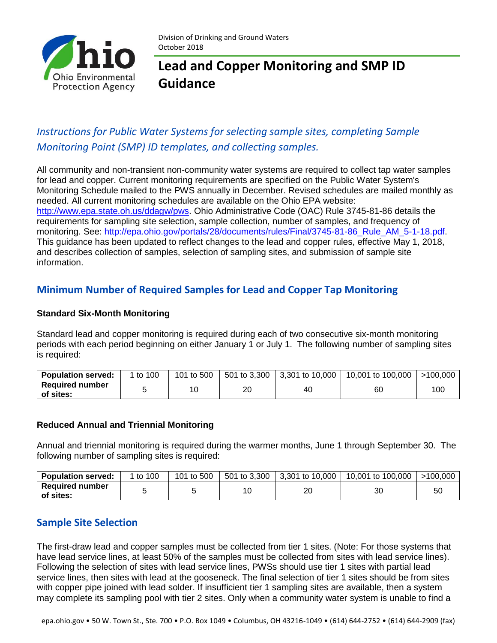

Division of Drinking and Ground Waters October 2018

# **Lead and Copper Monitoring and SMP ID Guidance**

### *Instructions for Public Water Systems for selecting sample sites, completing Sample Monitoring Point (SMP) ID templates, and collecting samples.*

All community and non-transient non-community water systems are required to collect tap water samples for lead and copper. Current monitoring requirements are specified on the Public Water System's Monitoring Schedule mailed to the PWS annually in December. Revised schedules are mailed monthly as needed. All current monitoring schedules are available on the Ohio EPA website: [http://www.epa.state.oh.us/ddagw/pws.](http://www.epa.state.oh.us/ddagw/pws) Ohio Administrative Code (OAC) Rule 3745-81-86 details the requirements for sampling site selection, sample collection, number of samples, and frequency of monitoring. See: [http://epa.ohio.gov/portals/28/documents/rules/Final/3745-81-86\\_Rule\\_AM\\_5-1-18.pdf.](http://epa.ohio.gov/portals/28/documents/rules/Final/3745-81-86_Rule_AM_5-1-18.pdf) This guidance has been updated to reflect changes to the lead and copper rules, effective May 1, 2018, and describes collection of samples, selection of sampling sites, and submission of sample site information.

### **Minimum Number of Required Samples for Lead and Copper Tap Monitoring**

### **Standard Six-Month Monitoring**

Standard lead and copper monitoring is required during each of two consecutive six-month monitoring periods with each period beginning on either January 1 or July 1. The following number of sampling sites is required:

| <b>Population served:</b>           | to 100 | 101 to 500 | 501 to 3,300 | $3,301$ to $10,000$ | 10.001 to 100.000 | >100.000 |
|-------------------------------------|--------|------------|--------------|---------------------|-------------------|----------|
| <b>Required number</b><br>of sites: |        |            | 20           | 40                  | 60                | 100      |

#### **Reduced Annual and Triennial Monitoring**

Annual and triennial monitoring is required during the warmer months, June 1 through September 30. The following number of sampling sites is required:

| <b>Population served:</b>           | to 100 | 101 to 500 | 501 to 3.300 | 3.301 to 10.000 | 10,001 to 100,000 | >100.000 |
|-------------------------------------|--------|------------|--------------|-----------------|-------------------|----------|
| <b>Required number</b><br>of sites: |        |            |              | 20              | 30                | .50      |

### **Sample Site Selection**

The first-draw lead and copper samples must be collected from tier 1 sites. (Note: For those systems that have lead service lines, at least 50% of the samples must be collected from sites with lead service lines). Following the selection of sites with lead service lines, PWSs should use tier 1 sites with partial lead service lines, then sites with lead at the gooseneck. The final selection of tier 1 sites should be from sites with copper pipe joined with lead solder. If insufficient tier 1 sampling sites are available, then a system may complete its sampling pool with tier 2 sites. Only when a community water system is unable to find a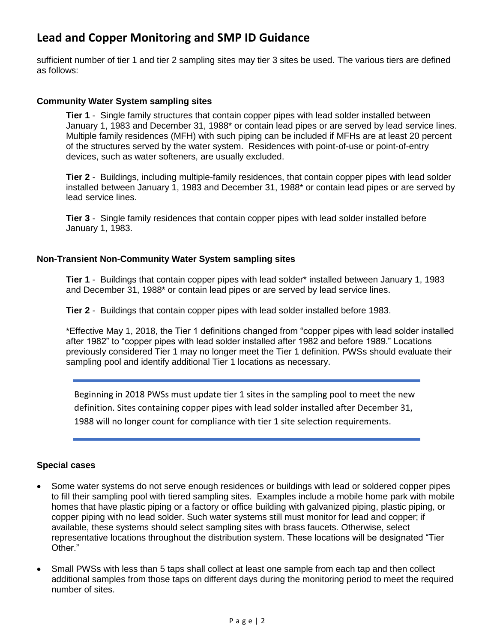sufficient number of tier 1 and tier 2 sampling sites may tier 3 sites be used. The various tiers are defined as follows:

#### **Community Water System sampling sites**

**Tier 1** - Single family structures that contain copper pipes with lead solder installed between January 1, 1983 and December 31, 1988\* or contain lead pipes or are served by lead service lines. Multiple family residences (MFH) with such piping can be included if MFHs are at least 20 percent of the structures served by the water system. Residences with point-of-use or point-of-entry devices, such as water softeners, are usually excluded.

**Tier 2** - Buildings, including multiple-family residences, that contain copper pipes with lead solder installed between January 1, 1983 and December 31, 1988\* or contain lead pipes or are served by lead service lines.

**Tier 3** - Single family residences that contain copper pipes with lead solder installed before January 1, 1983.

#### **Non-Transient Non-Community Water System sampling sites**

**Tier 1** - Buildings that contain copper pipes with lead solder\* installed between January 1, 1983 and December 31, 1988\* or contain lead pipes or are served by lead service lines.

**Tier 2** - Buildings that contain copper pipes with lead solder installed before 1983.

\*Effective May 1, 2018, the Tier 1 definitions changed from "copper pipes with lead solder installed after 1982" to "copper pipes with lead solder installed after 1982 and before 1989." Locations previously considered Tier 1 may no longer meet the Tier 1 definition. PWSs should evaluate their sampling pool and identify additional Tier 1 locations as necessary.

Beginning in 2018 PWSs must update tier 1 sites in the sampling pool to meet the new definition. Sites containing copper pipes with lead solder installed after December 31, 1988 will no longer count for compliance with tier 1 site selection requirements.

#### **Special cases**

- Some water systems do not serve enough residences or buildings with lead or soldered copper pipes to fill their sampling pool with tiered sampling sites. Examples include a mobile home park with mobile homes that have plastic piping or a factory or office building with galvanized piping, plastic piping, or copper piping with no lead solder. Such water systems still must monitor for lead and copper; if available, these systems should select sampling sites with brass faucets. Otherwise, select representative locations throughout the distribution system. These locations will be designated "Tier Other."
- Small PWSs with less than 5 taps shall collect at least one sample from each tap and then collect additional samples from those taps on different days during the monitoring period to meet the required number of sites.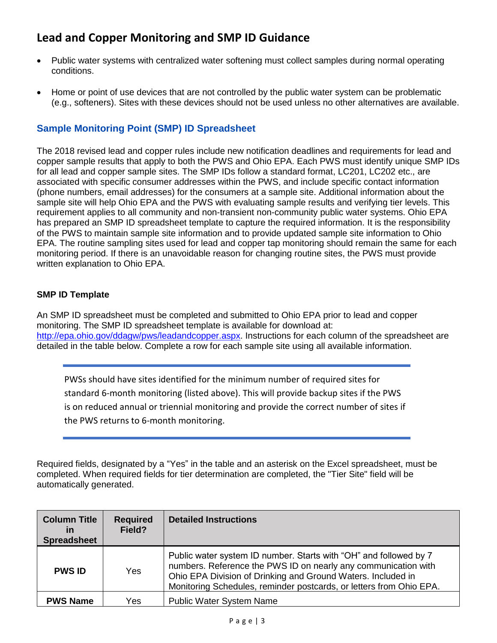- Public water systems with centralized water softening must collect samples during normal operating conditions.
- Home or point of use devices that are not controlled by the public water system can be problematic (e.g., softeners). Sites with these devices should not be used unless no other alternatives are available.

### **Sample Monitoring Point (SMP) ID Spreadsheet**

The 2018 revised lead and copper rules include new notification deadlines and requirements for lead and copper sample results that apply to both the PWS and Ohio EPA. Each PWS must identify unique SMP IDs for all lead and copper sample sites. The SMP IDs follow a standard format, LC201, LC202 etc., are associated with specific consumer addresses within the PWS, and include specific contact information (phone numbers, email addresses) for the consumers at a sample site. Additional information about the sample site will help Ohio EPA and the PWS with evaluating sample results and verifying tier levels. This requirement applies to all community and non-transient non-community public water systems. Ohio EPA has prepared an SMP ID spreadsheet template to capture the required information. It is the responsibility of the PWS to maintain sample site information and to provide updated sample site information to Ohio EPA. The routine sampling sites used for lead and copper tap monitoring should remain the same for each monitoring period. If there is an unavoidable reason for changing routine sites, the PWS must provide written explanation to Ohio EPA.

### **SMP ID Template**

An SMP ID spreadsheet must be completed and submitted to Ohio EPA prior to lead and copper monitoring. The SMP ID spreadsheet template is available for download at: [http://epa.ohio.gov/ddagw/pws/leadandcopper.aspx.](http://epa.ohio.gov/ddagw/pws/leadandcopper.aspx) Instructions for each column of the spreadsheet are detailed in the table below. Complete a row for each sample site using all available information.

PWSs should have sites identified for the minimum number of required sites for standard 6-month monitoring (listed above). This will provide backup sites if the PWS is on reduced annual or triennial monitoring and provide the correct number of sites if the PWS returns to 6-month monitoring.

Required fields, designated by a "Yes" in the table and an asterisk on the Excel spreadsheet, must be completed. When required fields for tier determination are completed, the "Tier Site" field will be automatically generated.

| <b>Column Title</b><br><u>in</u><br><b>Spreadsheet</b> | <b>Required</b><br>Field? | <b>Detailed Instructions</b>                                                                                                                                                                                                                                               |
|--------------------------------------------------------|---------------------------|----------------------------------------------------------------------------------------------------------------------------------------------------------------------------------------------------------------------------------------------------------------------------|
| <b>PWS ID</b>                                          | Yes                       | Public water system ID number. Starts with "OH" and followed by 7<br>numbers. Reference the PWS ID on nearly any communication with<br>Ohio EPA Division of Drinking and Ground Waters. Included in<br>Monitoring Schedules, reminder postcards, or letters from Ohio EPA. |
| <b>PWS Name</b>                                        | Yes                       | <b>Public Water System Name</b>                                                                                                                                                                                                                                            |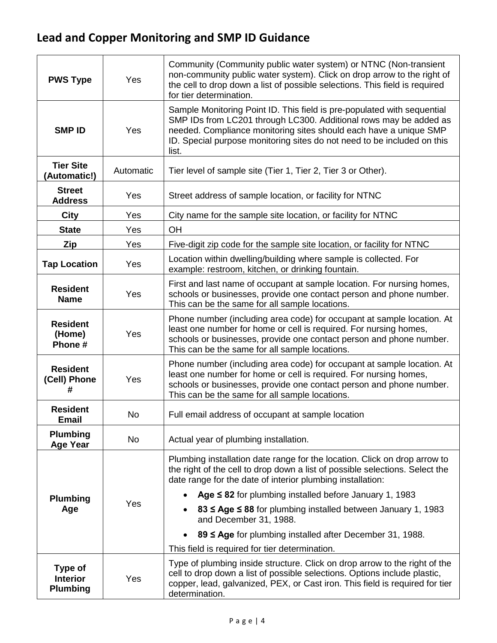| <b>PWS Type</b>                                      | Yes       | Community (Community public water system) or NTNC (Non-transient<br>non-community public water system). Click on drop arrow to the right of<br>the cell to drop down a list of possible selections. This field is required<br>for tier determination.                                                 |  |
|------------------------------------------------------|-----------|-------------------------------------------------------------------------------------------------------------------------------------------------------------------------------------------------------------------------------------------------------------------------------------------------------|--|
| <b>SMP ID</b>                                        | Yes       | Sample Monitoring Point ID. This field is pre-populated with sequential<br>SMP IDs from LC201 through LC300. Additional rows may be added as<br>needed. Compliance monitoring sites should each have a unique SMP<br>ID. Special purpose monitoring sites do not need to be included on this<br>list. |  |
| <b>Tier Site</b><br>(Automatic!)                     | Automatic | Tier level of sample site (Tier 1, Tier 2, Tier 3 or Other).                                                                                                                                                                                                                                          |  |
| <b>Street</b><br><b>Address</b>                      | Yes       | Street address of sample location, or facility for NTNC                                                                                                                                                                                                                                               |  |
| City                                                 | Yes       | City name for the sample site location, or facility for NTNC                                                                                                                                                                                                                                          |  |
| <b>State</b>                                         | Yes       | OH                                                                                                                                                                                                                                                                                                    |  |
| Zip                                                  | Yes       | Five-digit zip code for the sample site location, or facility for NTNC                                                                                                                                                                                                                                |  |
| <b>Tap Location</b>                                  | Yes       | Location within dwelling/building where sample is collected. For<br>example: restroom, kitchen, or drinking fountain.                                                                                                                                                                                 |  |
| <b>Resident</b><br><b>Name</b>                       | Yes       | First and last name of occupant at sample location. For nursing homes,<br>schools or businesses, provide one contact person and phone number.<br>This can be the same for all sample locations.                                                                                                       |  |
| <b>Resident</b><br>(Home)<br>Phone #                 | Yes       | Phone number (including area code) for occupant at sample location. At<br>least one number for home or cell is required. For nursing homes,<br>schools or businesses, provide one contact person and phone number.<br>This can be the same for all sample locations.                                  |  |
| <b>Resident</b><br>(Cell) Phone<br>#                 | Yes       | Phone number (including area code) for occupant at sample location. At<br>least one number for home or cell is required. For nursing homes,<br>schools or businesses, provide one contact person and phone number.<br>This can be the same for all sample locations.                                  |  |
| <b>Resident</b><br><b>Email</b>                      | No        | Full email address of occupant at sample location                                                                                                                                                                                                                                                     |  |
| <b>Plumbing</b><br><b>Age Year</b>                   | <b>No</b> | Actual year of plumbing installation.                                                                                                                                                                                                                                                                 |  |
| <b>Plumbing</b><br>Age                               | Yes       | Plumbing installation date range for the location. Click on drop arrow to<br>the right of the cell to drop down a list of possible selections. Select the<br>date range for the date of interior plumbing installation:                                                                               |  |
|                                                      |           | Age $\leq$ 82 for plumbing installed before January 1, 1983<br>$\bullet$                                                                                                                                                                                                                              |  |
|                                                      |           | 83 ≤ Age ≤ 88 for plumbing installed between January 1, 1983<br>and December 31, 1988.                                                                                                                                                                                                                |  |
|                                                      |           | 89 ≤ Age for plumbing installed after December 31, 1988.<br>$\bullet$                                                                                                                                                                                                                                 |  |
|                                                      |           | This field is required for tier determination.                                                                                                                                                                                                                                                        |  |
| <b>Type of</b><br><b>Interior</b><br><b>Plumbing</b> | Yes       | Type of plumbing inside structure. Click on drop arrow to the right of the<br>cell to drop down a list of possible selections. Options include plastic,<br>copper, lead, galvanized, PEX, or Cast iron. This field is required for tier<br>determination.                                             |  |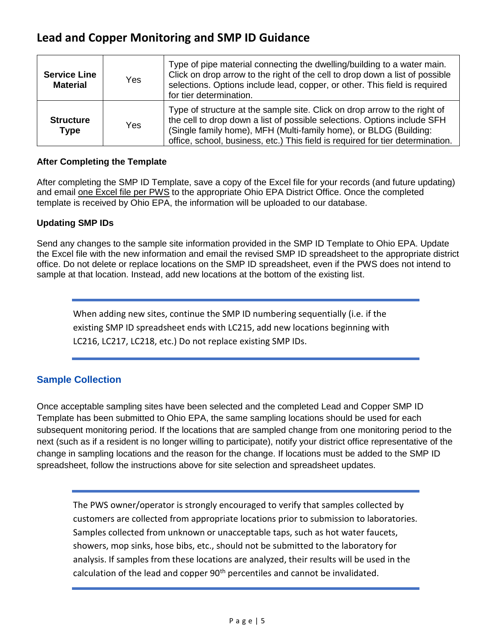| <b>Service Line</b><br><b>Material</b> | Yes.       | Type of pipe material connecting the dwelling/building to a water main.<br>Click on drop arrow to the right of the cell to drop down a list of possible<br>selections. Options include lead, copper, or other. This field is required<br>for tier determination.                                             |
|----------------------------------------|------------|--------------------------------------------------------------------------------------------------------------------------------------------------------------------------------------------------------------------------------------------------------------------------------------------------------------|
| <b>Structure</b><br><b>Type</b>        | <b>Yes</b> | Type of structure at the sample site. Click on drop arrow to the right of<br>the cell to drop down a list of possible selections. Options include SFH<br>(Single family home), MFH (Multi-family home), or BLDG (Building:<br>office, school, business, etc.) This field is required for tier determination. |

### **After Completing the Template**

After completing the SMP ID Template, save a copy of the Excel file for your records (and future updating) and email one Excel file per PWS to the appropriate Ohio EPA District Office. Once the completed template is received by Ohio EPA, the information will be uploaded to our database.

### **Updating SMP IDs**

Send any changes to the sample site information provided in the SMP ID Template to Ohio EPA. Update the Excel file with the new information and email the revised SMP ID spreadsheet to the appropriate district office. Do not delete or replace locations on the SMP ID spreadsheet, even if the PWS does not intend to sample at that location. Instead, add new locations at the bottom of the existing list.

When adding new sites, continue the SMP ID numbering sequentially (i.e. if the existing SMP ID spreadsheet ends with LC215, add new locations beginning with LC216, LC217, LC218, etc.) Do not replace existing SMP IDs.

### **Sample Collection**

Once acceptable sampling sites have been selected and the completed Lead and Copper SMP ID Template has been submitted to Ohio EPA, the same sampling locations should be used for each subsequent monitoring period. If the locations that are sampled change from one monitoring period to the next (such as if a resident is no longer willing to participate), notify your district office representative of the change in sampling locations and the reason for the change. If locations must be added to the SMP ID spreadsheet, follow the instructions above for site selection and spreadsheet updates.

The PWS owner/operator is strongly encouraged to verify that samples collected by customers are collected from appropriate locations prior to submission to laboratories. Samples collected from unknown or unacceptable taps, such as hot water faucets, showers, mop sinks, hose bibs, etc., should not be submitted to the laboratory for analysis. If samples from these locations are analyzed, their results will be used in the calculation of the lead and copper 90<sup>th</sup> percentiles and cannot be invalidated.